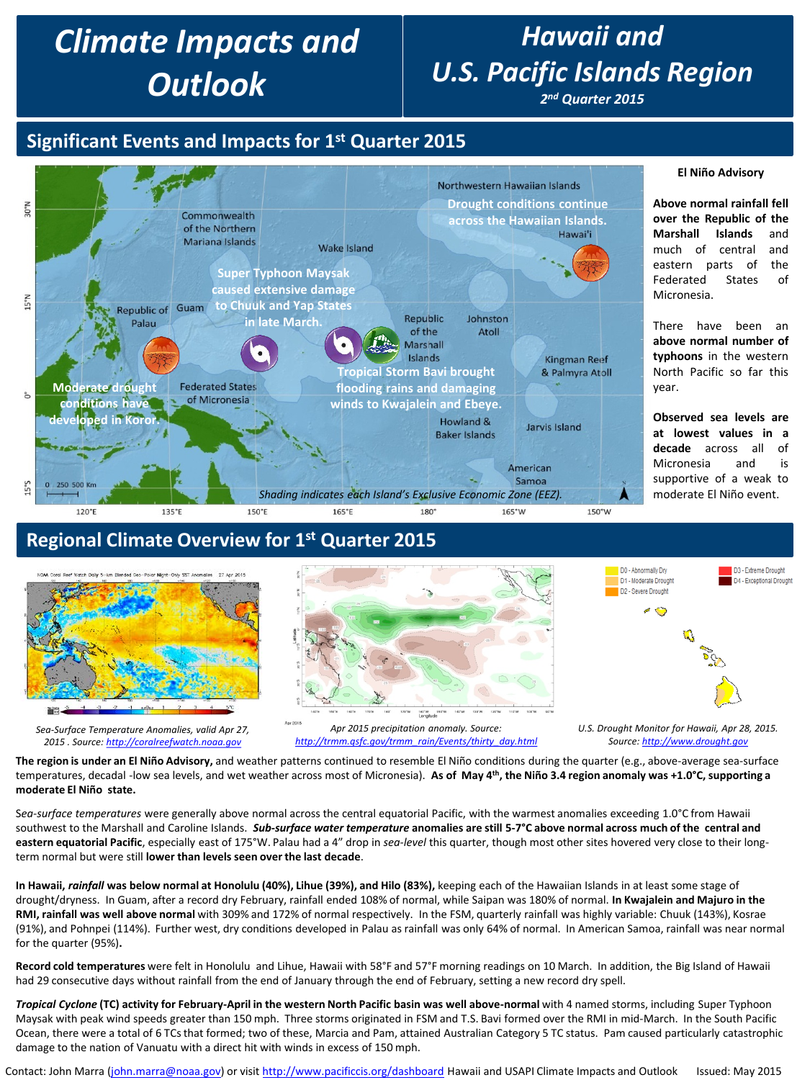# *Climate Impacts and Outlook*

## *Hawaii and U.S. Pacific Islands Region*

*2nd Quarter 2015*

#### **Significant Events and Impacts for 1st Quarter 2015**



## **Regional Climate Overview for 1st Quarter 2015**



**The region is under an El Niño Advisory,** and weather patterns continued to resemble El Niño conditions during the quarter (e.g., above-average sea-surface temperatures, decadal -low sea levels, and wet weather across most of Micronesia). As of May 4<sup>th</sup>, the Niño 3.4 region anomaly was +1.0°C, supporting a **moderate El Niño state.**

S*ea-surface temperatures* were generally above normal across the central equatorial Pacific, with the warmest anomalies exceeding 1.0°C from Hawaii southwest to the Marshall and Caroline Islands. *Sub-surface water temperature* **anomalies are still 5-7°C above normal across much of the central and eastern equatorial Pacific**, especially east of 175°W. Palau had a 4" drop in *sea-level* this quarter, though most other sites hovered very close to their longterm normal but were still **lower than levels seen over the last decade**.

**In Hawaii,** *rainfall* **was below normal at Honolulu (40%), Lihue (39%), and Hilo (83%),** keeping each of the Hawaiian Islands in at least some stage of drought/dryness. In Guam, after a record dry February, rainfall ended 108% of normal, while Saipan was 180% of normal. **In Kwajalein and Majuro in the RMI, rainfall was well above normal** with 309% and 172% of normal respectively. In the FSM, quarterly rainfall was highly variable: Chuuk (143%), Kosrae (91%), and Pohnpei (114%). Further west, dry conditions developed in Palau as rainfall was only 64% of normal. In American Samoa, rainfall was near normal for the quarter (95%)**.**

**Record cold temperatures** were felt in Honolulu and Lihue, Hawaii with 58°F and 57°F morning readings on 10 March. In addition, the Big Island of Hawaii had 29 consecutive days without rainfall from the end of January through the end of February, setting a new record dry spell.

*Tropical Cyclone* **(TC) activity for February-April in the western North Pacific basin was well above-normal** with 4 named storms, including Super Typhoon Maysak with peak wind speeds greater than 150 mph. Three storms originated in FSM and T.S. Bavi formed over the RMI in mid-March. In the South Pacific Ocean, there were a total of 6 TCs that formed; two of these, Marcia and Pam, attained Australian Category 5 TC status. Pam caused particularly catastrophic damage to the nation of Vanuatu with a direct hit with winds in excess of 150 mph.

Contact: John Marra [\(john.marra@noaa.gov](mailto:john.marra@noaa.gov)) or visit <http://www.pacificcis.org/dashboard> Hawaii and USAPI Climate Impacts and Outlook Issued: May 2015